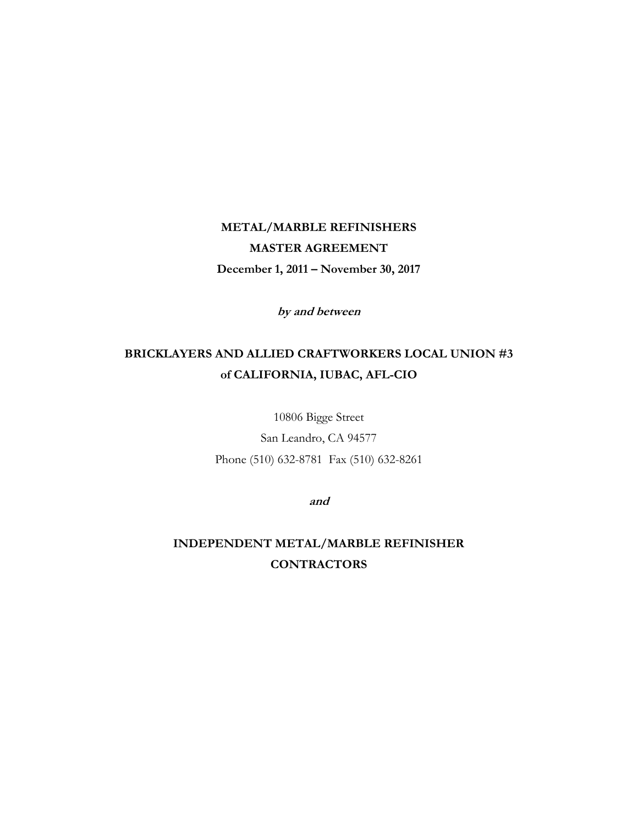# **METAL/MARBLE REFINISHERS MASTER AGREEMENT December 1, 2011 – November 30, 2017**

**by and between**

# **BRICKLAYERS AND ALLIED CRAFTWORKERS LOCAL UNION #3 of CALIFORNIA, IUBAC, AFL-CIO**

10806 Bigge Street San Leandro, CA 94577 Phone (510) 632-8781 Fax (510) 632-8261

**and**

**INDEPENDENT METAL/MARBLE REFINISHER CONTRACTORS**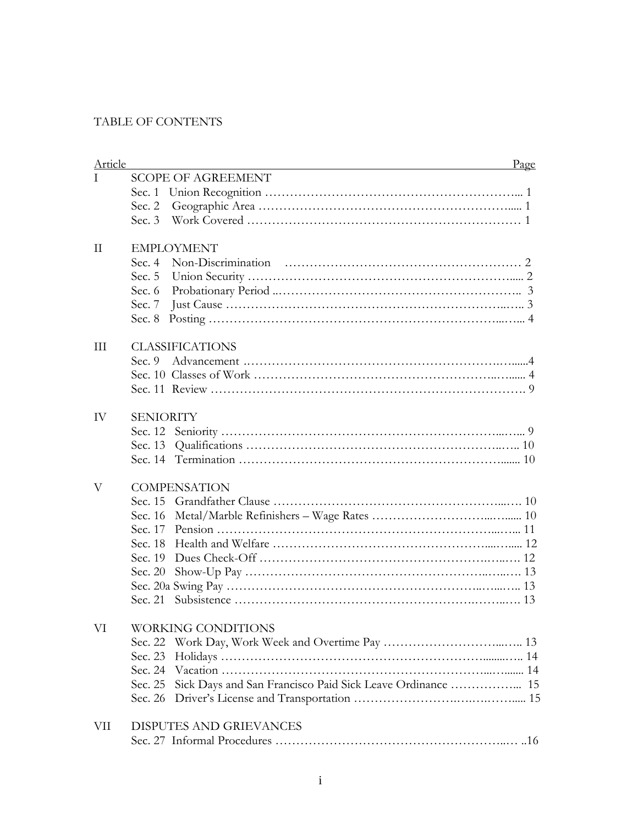# TABLE OF CONTENTS

| Article | Page                                                                 |  |
|---------|----------------------------------------------------------------------|--|
| T       | <b>SCOPE OF AGREEMENT</b>                                            |  |
|         |                                                                      |  |
|         |                                                                      |  |
|         |                                                                      |  |
| П       | <b>EMPLOYMENT</b>                                                    |  |
|         |                                                                      |  |
|         |                                                                      |  |
|         |                                                                      |  |
|         |                                                                      |  |
|         | Sec. 8                                                               |  |
| Ш       | <b>CLASSIFICATIONS</b>                                               |  |
|         | Sec. 9                                                               |  |
|         |                                                                      |  |
|         |                                                                      |  |
| IV      | <b>SENIORITY</b>                                                     |  |
|         |                                                                      |  |
|         |                                                                      |  |
|         |                                                                      |  |
| V       | <b>COMPENSATION</b>                                                  |  |
|         |                                                                      |  |
|         |                                                                      |  |
|         |                                                                      |  |
|         |                                                                      |  |
|         |                                                                      |  |
|         | Sec. 20                                                              |  |
|         |                                                                      |  |
|         |                                                                      |  |
| VI      | WORKING CONDITIONS                                                   |  |
|         | Sec. 22                                                              |  |
|         | Sec. 23                                                              |  |
|         | Sec. 24                                                              |  |
|         | Sick Days and San Francisco Paid Sick Leave Ordinance  15<br>Sec. 25 |  |
|         | Sec. 26                                                              |  |
| VII     | DISPUTES AND GRIEVANCES                                              |  |
|         |                                                                      |  |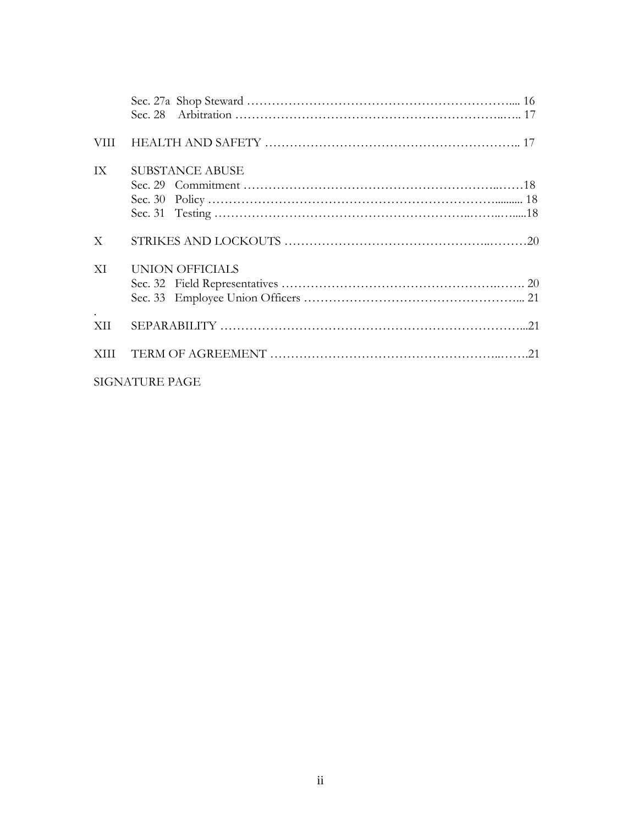| VIII  |                        |  |
|-------|------------------------|--|
| IX    | <b>SUBSTANCE ABUSE</b> |  |
| X     |                        |  |
| XI    | <b>UNION OFFICIALS</b> |  |
| XII   |                        |  |
| XIII. |                        |  |
|       | <b>SIGNATURE PAGE</b>  |  |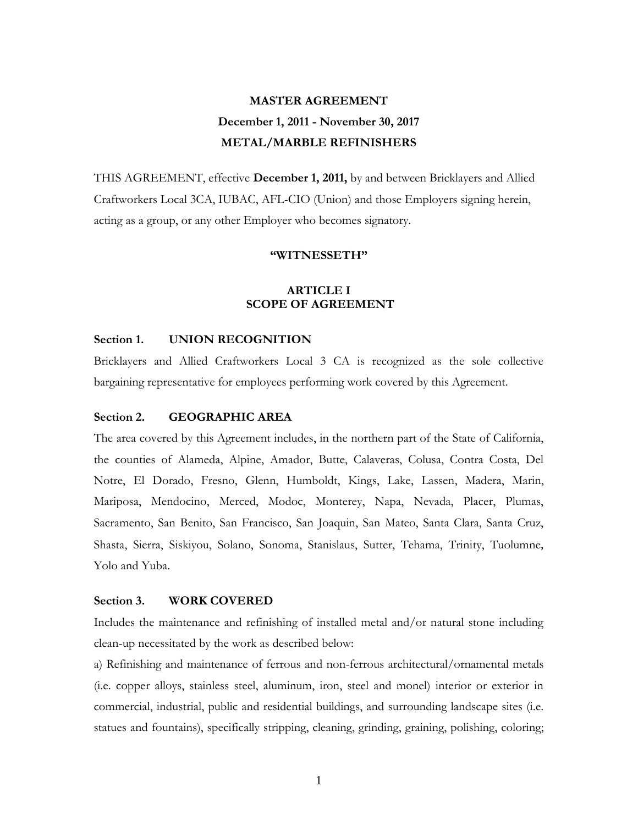# **MASTER AGREEMENT December 1, 2011 - November 30, 2017 METAL/MARBLE REFINISHERS**

THIS AGREEMENT, effective **December 1, 2011,** by and between Bricklayers and Allied Craftworkers Local 3CA, IUBAC, AFL-CIO (Union) and those Employers signing herein, acting as a group, or any other Employer who becomes signatory.

### **"WITNESSETH"**

## **ARTICLE I SCOPE OF AGREEMENT**

### **Section 1. UNION RECOGNITION**

Bricklayers and Allied Craftworkers Local 3 CA is recognized as the sole collective bargaining representative for employees performing work covered by this Agreement.

### **Section 2. GEOGRAPHIC AREA**

The area covered by this Agreement includes, in the northern part of the State of California, the counties of Alameda, Alpine, Amador, Butte, Calaveras, Colusa, Contra Costa, Del Notre, El Dorado, Fresno, Glenn, Humboldt, Kings, Lake, Lassen, Madera, Marin, Mariposa, Mendocino, Merced, Modoc, Monterey, Napa, Nevada, Placer, Plumas, Sacramento, San Benito, San Francisco, San Joaquin, San Mateo, Santa Clara, Santa Cruz, Shasta, Sierra, Siskiyou, Solano, Sonoma, Stanislaus, Sutter, Tehama, Trinity, Tuolumne, Yolo and Yuba.

# **Section 3. WORK COVERED**

Includes the maintenance and refinishing of installed metal and/or natural stone including clean-up necessitated by the work as described below:

a) Refinishing and maintenance of ferrous and non-ferrous architectural/ornamental metals (i.e. copper alloys, stainless steel, aluminum, iron, steel and monel) interior or exterior in commercial, industrial, public and residential buildings, and surrounding landscape sites (i.e. statues and fountains), specifically stripping, cleaning, grinding, graining, polishing, coloring;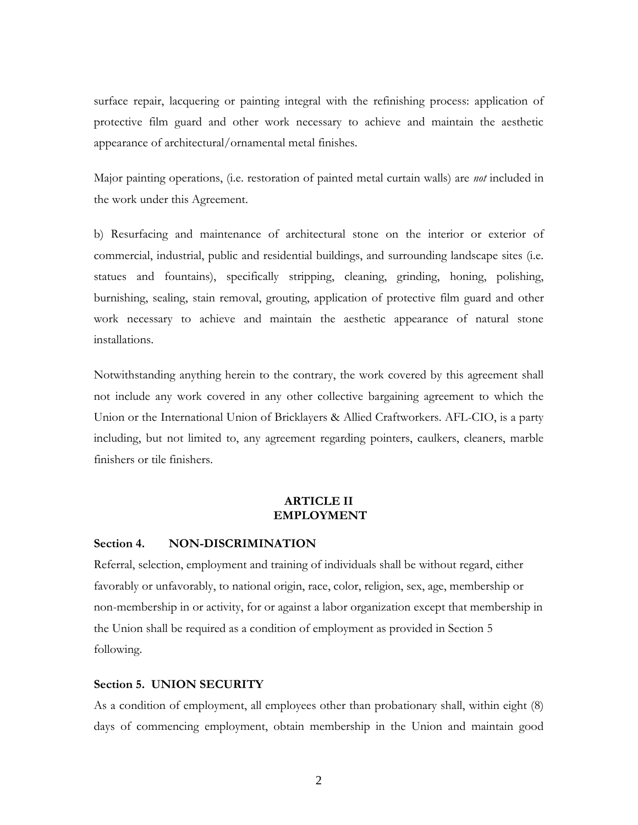surface repair, lacquering or painting integral with the refinishing process: application of protective film guard and other work necessary to achieve and maintain the aesthetic appearance of architectural/ornamental metal finishes.

Major painting operations, (i.e. restoration of painted metal curtain walls) are *not* included in the work under this Agreement.

b) Resurfacing and maintenance of architectural stone on the interior or exterior of commercial, industrial, public and residential buildings, and surrounding landscape sites (i.e. statues and fountains), specifically stripping, cleaning, grinding, honing, polishing, burnishing, sealing, stain removal, grouting, application of protective film guard and other work necessary to achieve and maintain the aesthetic appearance of natural stone installations.

Notwithstanding anything herein to the contrary, the work covered by this agreement shall not include any work covered in any other collective bargaining agreement to which the Union or the International Union of Bricklayers & Allied Craftworkers. AFL-CIO, is a party including, but not limited to, any agreement regarding pointers, caulkers, cleaners, marble finishers or tile finishers.

# **ARTICLE II EMPLOYMENT**

### **Section 4. NON-DISCRIMINATION**

Referral, selection, employment and training of individuals shall be without regard, either favorably or unfavorably, to national origin, race, color, religion, sex, age, membership or non-membership in or activity, for or against a labor organization except that membership in the Union shall be required as a condition of employment as provided in Section 5 following.

### **Section 5. UNION SECURITY**

As a condition of employment, all employees other than probationary shall, within eight (8) days of commencing employment, obtain membership in the Union and maintain good

2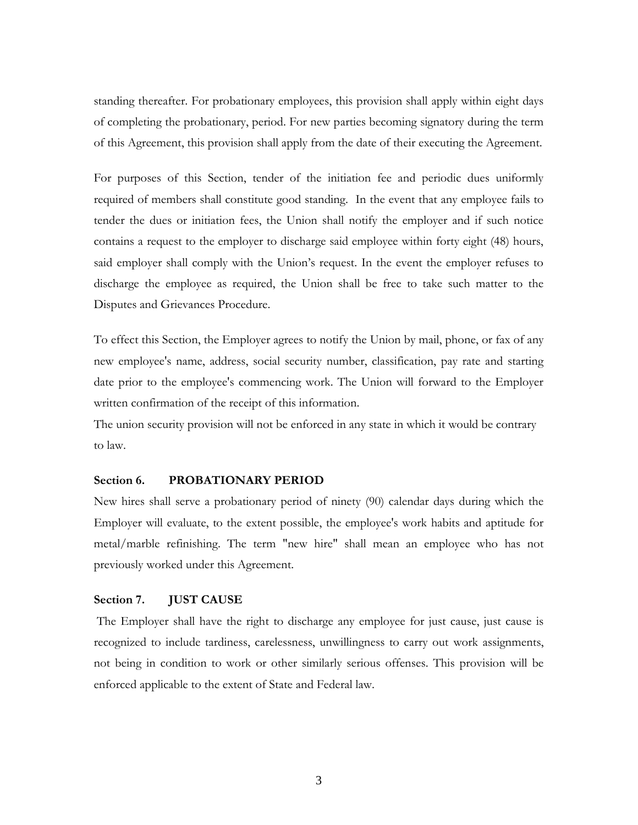standing thereafter. For probationary employees, this provision shall apply within eight days of completing the probationary, period. For new parties becoming signatory during the term of this Agreement, this provision shall apply from the date of their executing the Agreement.

For purposes of this Section, tender of the initiation fee and periodic dues uniformly required of members shall constitute good standing. In the event that any employee fails to tender the dues or initiation fees, the Union shall notify the employer and if such notice contains a request to the employer to discharge said employee within forty eight (48) hours, said employer shall comply with the Union's request. In the event the employer refuses to discharge the employee as required, the Union shall be free to take such matter to the Disputes and Grievances Procedure.

To effect this Section, the Employer agrees to notify the Union by mail, phone, or fax of any new employee's name, address, social security number, classification, pay rate and starting date prior to the employee's commencing work. The Union will forward to the Employer written confirmation of the receipt of this information.

The union security provision will not be enforced in any state in which it would be contrary to law.

### **Section 6. PROBATIONARY PERIOD**

New hires shall serve a probationary period of ninety (90) calendar days during which the Employer will evaluate, to the extent possible, the employee's work habits and aptitude for metal/marble refinishing. The term "new hire" shall mean an employee who has not previously worked under this Agreement.

#### **Section 7. JUST CAUSE**

The Employer shall have the right to discharge any employee for just cause, just cause is recognized to include tardiness, carelessness, unwillingness to carry out work assignments, not being in condition to work or other similarly serious offenses. This provision will be enforced applicable to the extent of State and Federal law.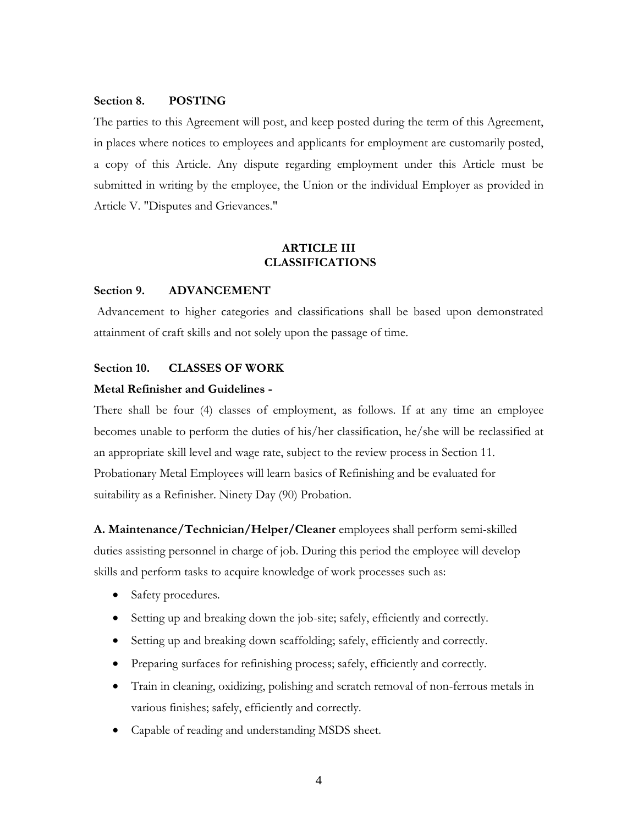### **Section 8. POSTING**

The parties to this Agreement will post, and keep posted during the term of this Agreement, in places where notices to employees and applicants for employment are customarily posted, a copy of this Article. Any dispute regarding employment under this Article must be submitted in writing by the employee, the Union or the individual Employer as provided in Article V. "Disputes and Grievances."

## **ARTICLE III CLASSIFICATIONS**

#### **Section 9. ADVANCEMENT**

Advancement to higher categories and classifications shall be based upon demonstrated attainment of craft skills and not solely upon the passage of time.

### **Section 10. CLASSES OF WORK**

### **Metal Refinisher and Guidelines -**

There shall be four (4) classes of employment, as follows. If at any time an employee becomes unable to perform the duties of his/her classification, he/she will be reclassified at an appropriate skill level and wage rate, subject to the review process in Section 11. Probationary Metal Employees will learn basics of Refinishing and be evaluated for suitability as a Refinisher. Ninety Day (90) Probation.

**A. Maintenance/Technician/Helper/Cleaner** employees shall perform semi-skilled duties assisting personnel in charge of job. During this period the employee will develop skills and perform tasks to acquire knowledge of work processes such as:

- Safety procedures.
- Setting up and breaking down the job-site; safely, efficiently and correctly.
- Setting up and breaking down scaffolding; safely, efficiently and correctly.
- Preparing surfaces for refinishing process; safely, efficiently and correctly.
- Train in cleaning, oxidizing, polishing and scratch removal of non-ferrous metals in various finishes; safely, efficiently and correctly.
- Capable of reading and understanding MSDS sheet.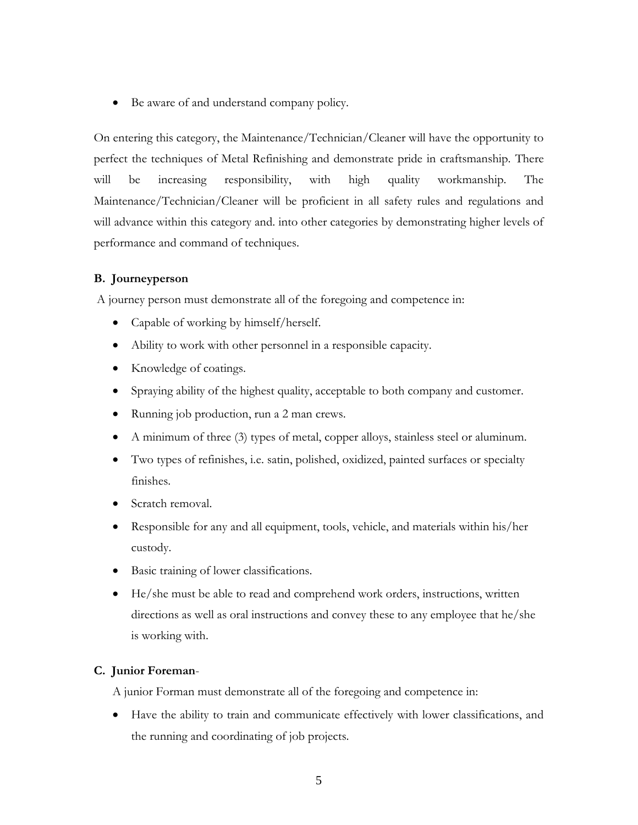Be aware of and understand company policy.

On entering this category, the Maintenance/Technician/Cleaner will have the opportunity to perfect the techniques of Metal Refinishing and demonstrate pride in craftsmanship. There will be increasing responsibility, with high quality workmanship. The Maintenance/Technician/Cleaner will be proficient in all safety rules and regulations and will advance within this category and. into other categories by demonstrating higher levels of performance and command of techniques.

# **B. Journeyperson**

A journey person must demonstrate all of the foregoing and competence in:

- Capable of working by himself/herself.
- Ability to work with other personnel in a responsible capacity.
- Knowledge of coatings.
- Spraying ability of the highest quality, acceptable to both company and customer.
- Running job production, run a 2 man crews.
- A minimum of three (3) types of metal, copper alloys, stainless steel or aluminum.
- Two types of refinishes, i.e. satin, polished, oxidized, painted surfaces or specialty finishes.
- Scratch removal.
- Responsible for any and all equipment, tools, vehicle, and materials within his/her custody.
- Basic training of lower classifications.
- He/she must be able to read and comprehend work orders, instructions, written directions as well as oral instructions and convey these to any employee that he/she is working with.

# **C. Junior Foreman**-

A junior Forman must demonstrate all of the foregoing and competence in:

 Have the ability to train and communicate effectively with lower classifications, and the running and coordinating of job projects.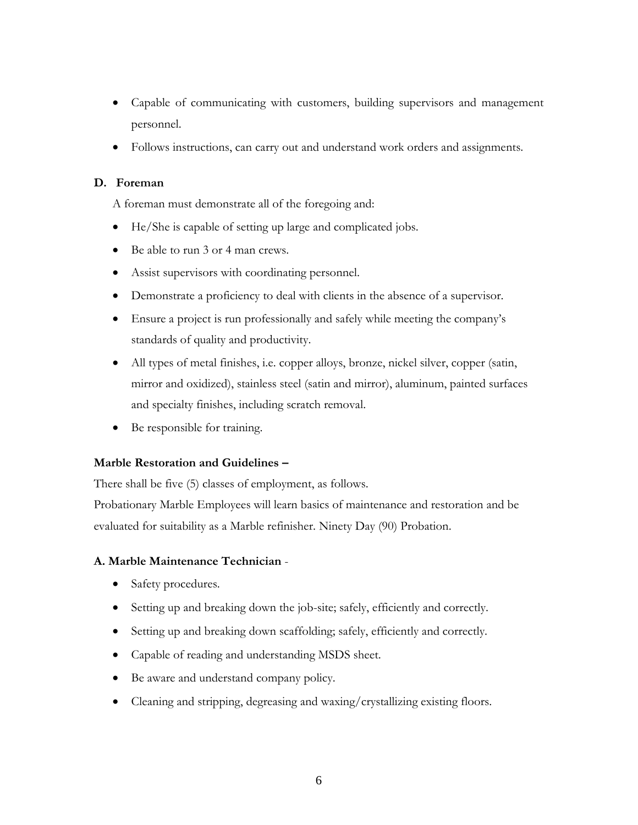- Capable of communicating with customers, building supervisors and management personnel.
- Follows instructions, can carry out and understand work orders and assignments.

# **D. Foreman**

A foreman must demonstrate all of the foregoing and:

- He/She is capable of setting up large and complicated jobs.
- Be able to run 3 or 4 man crews.
- Assist supervisors with coordinating personnel.
- Demonstrate a proficiency to deal with clients in the absence of a supervisor.
- Ensure a project is run professionally and safely while meeting the company's standards of quality and productivity.
- All types of metal finishes, i.e. copper alloys, bronze, nickel silver, copper (satin, mirror and oxidized), stainless steel (satin and mirror), aluminum, painted surfaces and specialty finishes, including scratch removal.
- Be responsible for training.

# **Marble Restoration and Guidelines –**

There shall be five (5) classes of employment, as follows.

Probationary Marble Employees will learn basics of maintenance and restoration and be evaluated for suitability as a Marble refinisher. Ninety Day (90) Probation.

# **A. Marble Maintenance Technician** -

- Safety procedures.
- Setting up and breaking down the job-site; safely, efficiently and correctly.
- Setting up and breaking down scaffolding; safely, efficiently and correctly.
- Capable of reading and understanding MSDS sheet.
- Be aware and understand company policy.
- Cleaning and stripping, degreasing and waxing/crystallizing existing floors.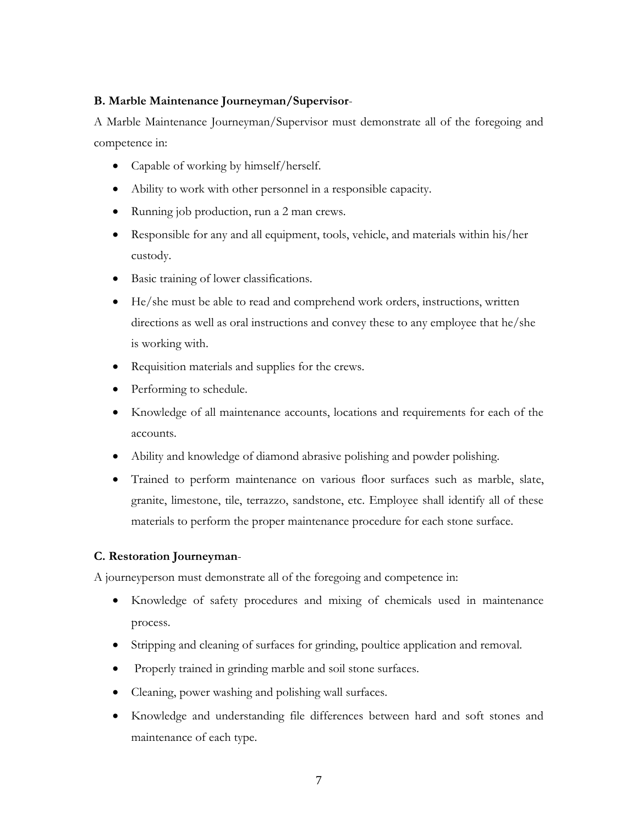# **B. Marble Maintenance Journeyman/Supervisor**-

A Marble Maintenance Journeyman/Supervisor must demonstrate all of the foregoing and competence in:

- Capable of working by himself/herself.
- Ability to work with other personnel in a responsible capacity.
- Running job production, run a 2 man crews.
- Responsible for any and all equipment, tools, vehicle, and materials within his/her custody.
- Basic training of lower classifications.
- He/she must be able to read and comprehend work orders, instructions, written directions as well as oral instructions and convey these to any employee that he/she is working with.
- Requisition materials and supplies for the crews.
- Performing to schedule.
- Knowledge of all maintenance accounts, locations and requirements for each of the accounts.
- Ability and knowledge of diamond abrasive polishing and powder polishing.
- Trained to perform maintenance on various floor surfaces such as marble, slate, granite, limestone, tile, terrazzo, sandstone, etc. Employee shall identify all of these materials to perform the proper maintenance procedure for each stone surface.

# **C. Restoration Journeyman**-

A journeyperson must demonstrate all of the foregoing and competence in:

- Knowledge of safety procedures and mixing of chemicals used in maintenance process.
- Stripping and cleaning of surfaces for grinding, poultice application and removal.
- Properly trained in grinding marble and soil stone surfaces.
- Cleaning, power washing and polishing wall surfaces.
- Knowledge and understanding file differences between hard and soft stones and maintenance of each type.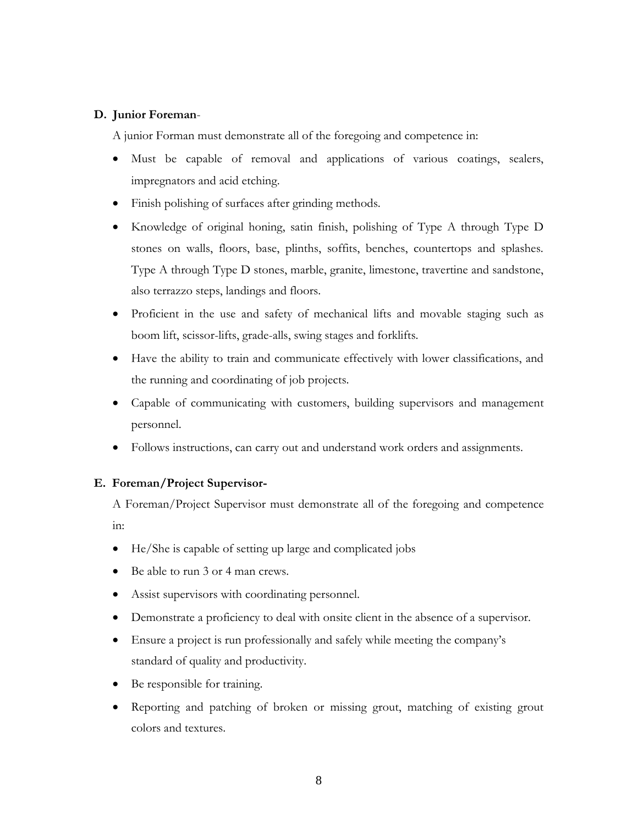# **D. Junior Foreman**-

A junior Forman must demonstrate all of the foregoing and competence in:

- Must be capable of removal and applications of various coatings, sealers, impregnators and acid etching.
- Finish polishing of surfaces after grinding methods.
- Knowledge of original honing, satin finish, polishing of Type A through Type D stones on walls, floors, base, plinths, soffits, benches, countertops and splashes. Type A through Type D stones, marble, granite, limestone, travertine and sandstone, also terrazzo steps, landings and floors.
- Proficient in the use and safety of mechanical lifts and movable staging such as boom lift, scissor-lifts, grade-alls, swing stages and forklifts.
- Have the ability to train and communicate effectively with lower classifications, and the running and coordinating of job projects.
- Capable of communicating with customers, building supervisors and management personnel.
- Follows instructions, can carry out and understand work orders and assignments.

# **E. Foreman/Project Supervisor-**

A Foreman/Project Supervisor must demonstrate all of the foregoing and competence in:

- He/She is capable of setting up large and complicated jobs
- Be able to run 3 or 4 man crews.
- Assist supervisors with coordinating personnel.
- Demonstrate a proficiency to deal with onsite client in the absence of a supervisor.
- Ensure a project is run professionally and safely while meeting the company's standard of quality and productivity.
- Be responsible for training.
- Reporting and patching of broken or missing grout, matching of existing grout colors and textures.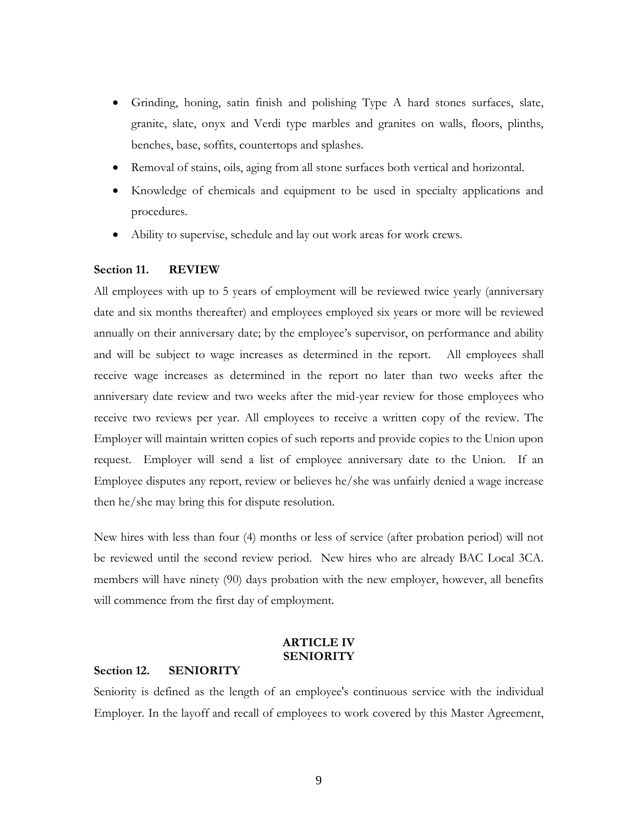- Grinding, honing, satin finish and polishing Type A hard stones surfaces, slate, granite, slate, onyx and Verdi type marbles and granites on walls, floors, plinths, benches, base, soffits, countertops and splashes.
- Removal of stains, oils, aging from all stone surfaces both vertical and horizontal.
- Knowledge of chemicals and equipment to be used in specialty applications and procedures.
- Ability to supervise, schedule and lay out work areas for work crews.

### **Section 11. REVIEW**

All employees with up to 5 years of employment will be reviewed twice yearly (anniversary date and six months thereafter) and employees employed six years or more will be reviewed annually on their anniversary date; by the employee's supervisor, on performance and ability and will be subject to wage increases as determined in the report. All employees shall receive wage increases as determined in the report no later than two weeks after the anniversary date review and two weeks after the mid-year review for those employees who receive two reviews per year. All employees to receive a written copy of the review. The Employer will maintain written copies of such reports and provide copies to the Union upon request. Employer will send a list of employee anniversary date to the Union. If an Employee disputes any report, review or believes he/she was unfairly denied a wage increase then he/she may bring this for dispute resolution.

New hires with less than four (4) months or less of service (after probation period) will not be reviewed until the second review period. New hires who are already BAC Local 3CA. members will have ninety (90) days probation with the new employer, however, all benefits will commence from the first day of employment.

# **ARTICLE IV SENIORITY**

## **Section 12. SENIORITY**

Seniority is defined as the length of an employee's continuous service with the individual Employer. In the layoff and recall of employees to work covered by this Master Agreement,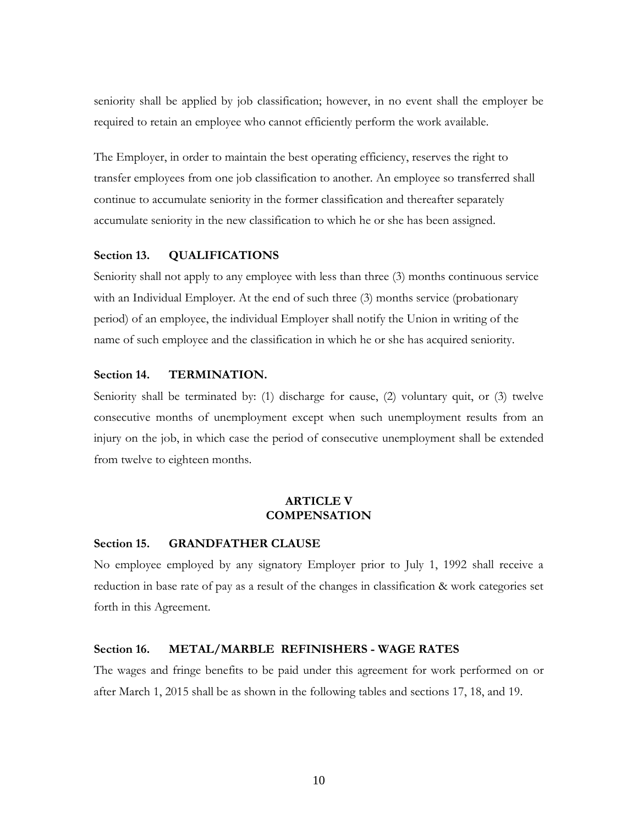seniority shall be applied by job classification; however, in no event shall the employer be required to retain an employee who cannot efficiently perform the work available.

The Employer, in order to maintain the best operating efficiency, reserves the right to transfer employees from one job classification to another. An employee so transferred shall continue to accumulate seniority in the former classification and thereafter separately accumulate seniority in the new classification to which he or she has been assigned.

### **Section 13. QUALIFICATIONS**

Seniority shall not apply to any employee with less than three (3) months continuous service with an Individual Employer. At the end of such three (3) months service (probationary period) of an employee, the individual Employer shall notify the Union in writing of the name of such employee and the classification in which he or she has acquired seniority.

## **Section 14. TERMINATION.**

Seniority shall be terminated by: (1) discharge for cause, (2) voluntary quit, or (3) twelve consecutive months of unemployment except when such unemployment results from an injury on the job, in which case the period of consecutive unemployment shall be extended from twelve to eighteen months.

## **ARTICLE V COMPENSATION**

### **Section 15. GRANDFATHER CLAUSE**

No employee employed by any signatory Employer prior to July 1, 1992 shall receive a reduction in base rate of pay as a result of the changes in classification & work categories set forth in this Agreement.

#### **Section 16. METAL/MARBLE REFINISHERS - WAGE RATES**

The wages and fringe benefits to be paid under this agreement for work performed on or after March 1, 2015 shall be as shown in the following tables and sections 17, 18, and 19.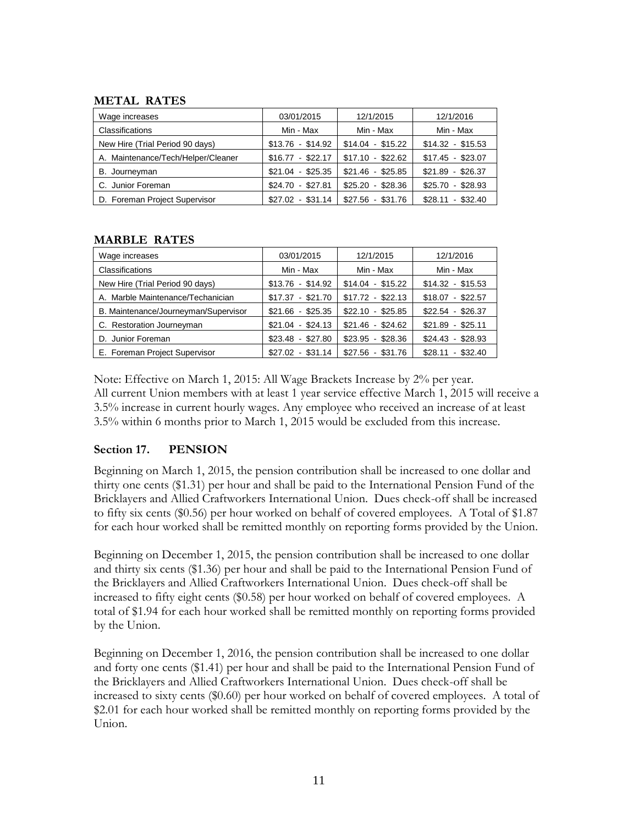# **METAL RATES**

| Wage increases                     | 03/01/2015        | 12/1/2015         | 12/1/2016         |
|------------------------------------|-------------------|-------------------|-------------------|
| Classifications                    | Min - Max         | Min - Max         | Min - Max         |
| New Hire (Trial Period 90 days)    | $$13.76 - $14.92$ | $$14.04 - $15.22$ | $$14.32 - $15.53$ |
| A. Maintenance/Tech/Helper/Cleaner | $$16.77 - $22.17$ | $$17.10 - $22.62$ | $$17.45 - $23.07$ |
| B. Journeyman                      | $$21.04 - $25.35$ | $$21.46 - $25.85$ | $$21.89 - $26.37$ |
| C. Junior Foreman                  | $$24.70$ $$27.81$ | $$25.20 - $28.36$ | $$25.70 - $28.93$ |
| D. Foreman Project Supervisor      | $$27.02 - $31.14$ | $$27.56 - $31.76$ | $$28.11 - $32.40$ |

# **MARBLE RATES**

| Wage increases                       | 03/01/2015        | 12/1/2015         | 12/1/2016         |
|--------------------------------------|-------------------|-------------------|-------------------|
| <b>Classifications</b>               | Min - Max         | Min - Max         | Min - Max         |
| New Hire (Trial Period 90 days)      | $$13.76 - $14.92$ | $$14.04 - $15.22$ | $$14.32 - $15.53$ |
| A. Marble Maintenance/Techanician    | $$17.37 - $21.70$ | $$17.72 - $22.13$ | $$18.07 - $22.57$ |
| B. Maintenance/Journeyman/Supervisor | $$21.66 - $25.35$ | $$22.10 - $25.85$ | $$22.54 - $26.37$ |
| C. Restoration Journeyman            | $$21.04 - $24.13$ | $$21.46 - $24.62$ | $$21.89 - $25.11$ |
| D. Junior Foreman                    | $$23.48 - $27.80$ | $$23.95 - $28.36$ | $$24.43 - $28.93$ |
| E. Foreman Project Supervisor        | $$27.02 - $31.14$ | $$27.56 - $31.76$ | $$28.11 - $32.40$ |

Note: Effective on March 1, 2015: All Wage Brackets Increase by 2% per year. All current Union members with at least 1 year service effective March 1, 2015 will receive a 3.5% increase in current hourly wages. Any employee who received an increase of at least 3.5% within 6 months prior to March 1, 2015 would be excluded from this increase.

# **Section 17. PENSION**

Beginning on March 1, 2015, the pension contribution shall be increased to one dollar and thirty one cents (\$1.31) per hour and shall be paid to the International Pension Fund of the Bricklayers and Allied Craftworkers International Union. Dues check-off shall be increased to fifty six cents (\$0.56) per hour worked on behalf of covered employees. A Total of \$1.87 for each hour worked shall be remitted monthly on reporting forms provided by the Union.

Beginning on December 1, 2015, the pension contribution shall be increased to one dollar and thirty six cents (\$1.36) per hour and shall be paid to the International Pension Fund of the Bricklayers and Allied Craftworkers International Union. Dues check-off shall be increased to fifty eight cents (\$0.58) per hour worked on behalf of covered employees. A total of \$1.94 for each hour worked shall be remitted monthly on reporting forms provided by the Union.

Beginning on December 1, 2016, the pension contribution shall be increased to one dollar and forty one cents (\$1.41) per hour and shall be paid to the International Pension Fund of the Bricklayers and Allied Craftworkers International Union. Dues check-off shall be increased to sixty cents (\$0.60) per hour worked on behalf of covered employees. A total of \$2.01 for each hour worked shall be remitted monthly on reporting forms provided by the Union.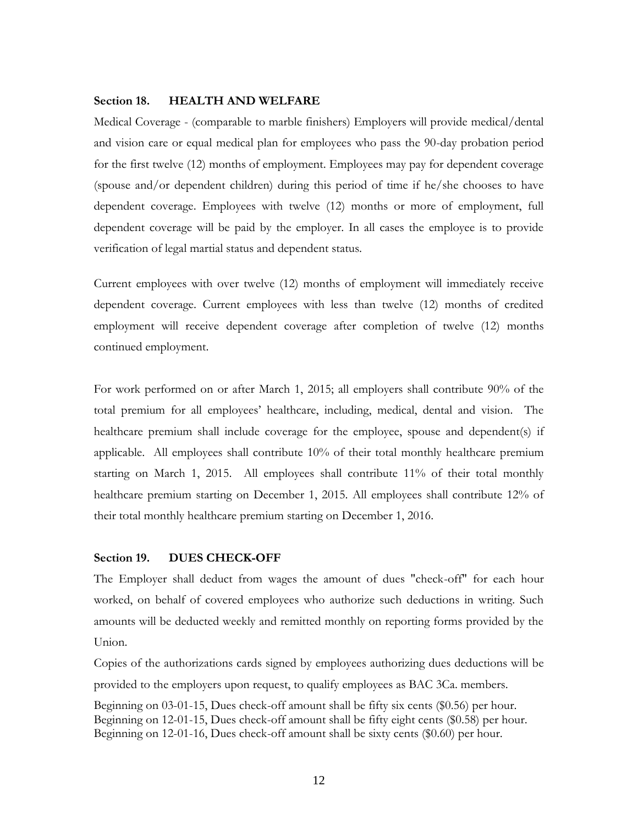#### **Section 18. HEALTH AND WELFARE**

Medical Coverage - (comparable to marble finishers) Employers will provide medical/dental and vision care or equal medical plan for employees who pass the 90-day probation period for the first twelve (12) months of employment. Employees may pay for dependent coverage (spouse and/or dependent children) during this period of time if he/she chooses to have dependent coverage. Employees with twelve (12) months or more of employment, full dependent coverage will be paid by the employer. In all cases the employee is to provide verification of legal martial status and dependent status.

Current employees with over twelve (12) months of employment will immediately receive dependent coverage. Current employees with less than twelve (12) months of credited employment will receive dependent coverage after completion of twelve (12) months continued employment.

For work performed on or after March 1, 2015; all employers shall contribute 90% of the total premium for all employees' healthcare, including, medical, dental and vision. The healthcare premium shall include coverage for the employee, spouse and dependent(s) if applicable. All employees shall contribute 10% of their total monthly healthcare premium starting on March 1, 2015. All employees shall contribute 11% of their total monthly healthcare premium starting on December 1, 2015. All employees shall contribute 12% of their total monthly healthcare premium starting on December 1, 2016.

### **Section 19. DUES CHECK-OFF**

The Employer shall deduct from wages the amount of dues "check-off" for each hour worked, on behalf of covered employees who authorize such deductions in writing. Such amounts will be deducted weekly and remitted monthly on reporting forms provided by the Union.

Copies of the authorizations cards signed by employees authorizing dues deductions will be provided to the employers upon request, to qualify employees as BAC 3Ca. members.

Beginning on 03-01-15, Dues check-off amount shall be fifty six cents (\$0.56) per hour. Beginning on 12-01-15, Dues check-off amount shall be fifty eight cents (\$0.58) per hour. Beginning on 12-01-16, Dues check-off amount shall be sixty cents (\$0.60) per hour.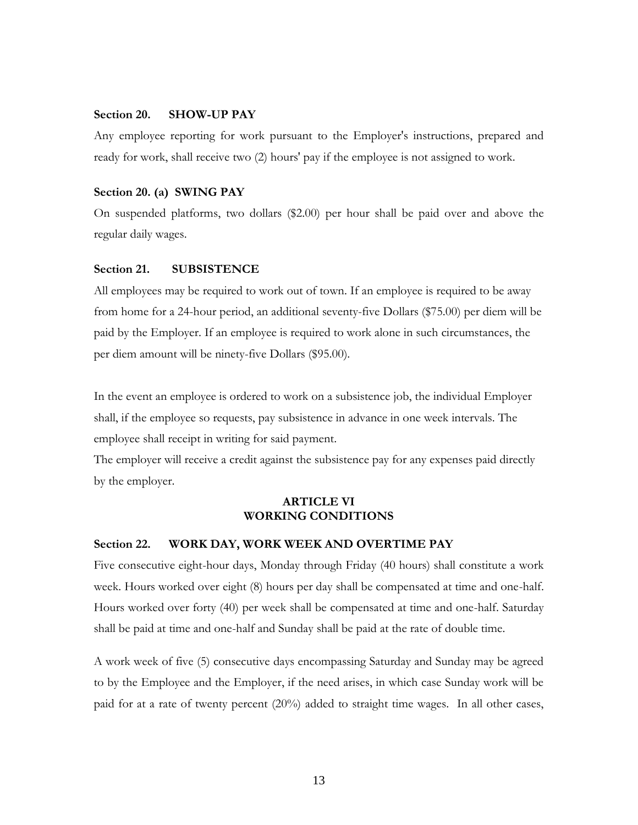# **Section 20. SHOW-UP PAY**

Any employee reporting for work pursuant to the Employer's instructions, prepared and ready for work, shall receive two (2) hours' pay if the employee is not assigned to work.

#### **Section 20. (a) SWING PAY**

On suspended platforms, two dollars (\$2.00) per hour shall be paid over and above the regular daily wages.

### **Section 21. SUBSISTENCE**

All employees may be required to work out of town. If an employee is required to be away from home for a 24-hour period, an additional seventy-five Dollars (\$75.00) per diem will be paid by the Employer. If an employee is required to work alone in such circumstances, the per diem amount will be ninety-five Dollars (\$95.00).

In the event an employee is ordered to work on a subsistence job, the individual Employer shall, if the employee so requests, pay subsistence in advance in one week intervals. The employee shall receipt in writing for said payment.

The employer will receive a credit against the subsistence pay for any expenses paid directly by the employer.

## **ARTICLE VI WORKING CONDITIONS**

### **Section 22. WORK DAY, WORK WEEK AND OVERTIME PAY**

Five consecutive eight-hour days, Monday through Friday (40 hours) shall constitute a work week. Hours worked over eight (8) hours per day shall be compensated at time and one-half. Hours worked over forty (40) per week shall be compensated at time and one-half. Saturday shall be paid at time and one-half and Sunday shall be paid at the rate of double time.

A work week of five (5) consecutive days encompassing Saturday and Sunday may be agreed to by the Employee and the Employer, if the need arises, in which case Sunday work will be paid for at a rate of twenty percent (20%) added to straight time wages. In all other cases,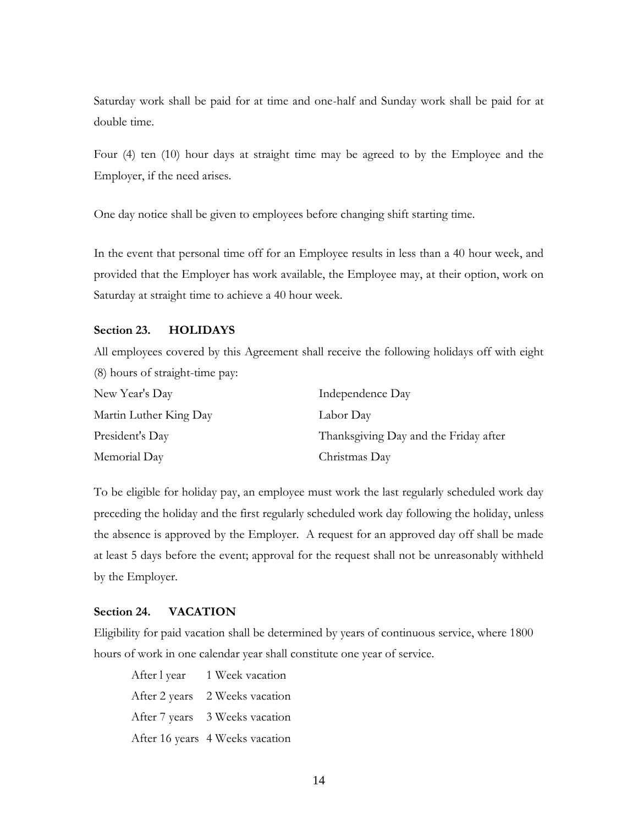Saturday work shall be paid for at time and one-half and Sunday work shall be paid for at double time.

Four (4) ten (10) hour days at straight time may be agreed to by the Employee and the Employer, if the need arises.

One day notice shall be given to employees before changing shift starting time.

In the event that personal time off for an Employee results in less than a 40 hour week, and provided that the Employer has work available, the Employee may, at their option, work on Saturday at straight time to achieve a 40 hour week.

### **Section 23. HOLIDAYS**

All employees covered by this Agreement shall receive the following holidays off with eight (8) hours of straight-time pay:

| New Year's Day         | Independence Day                      |
|------------------------|---------------------------------------|
| Martin Luther King Day | Labor Day                             |
| President's Day        | Thanksgiving Day and the Friday after |
| Memorial Day           | Christmas Day                         |

To be eligible for holiday pay, an employee must work the last regularly scheduled work day preceding the holiday and the first regularly scheduled work day following the holiday, unless the absence is approved by the Employer. A request for an approved day off shall be made at least 5 days before the event; approval for the request shall not be unreasonably withheld by the Employer.

### **Section 24. VACATION**

Eligibility for paid vacation shall be determined by years of continuous service, where 1800 hours of work in one calendar year shall constitute one year of service.

After l year 1 Week vacation After 2 years 2 Weeks vacation After 7 years 3 Weeks vacation After 16 years 4 Weeks vacation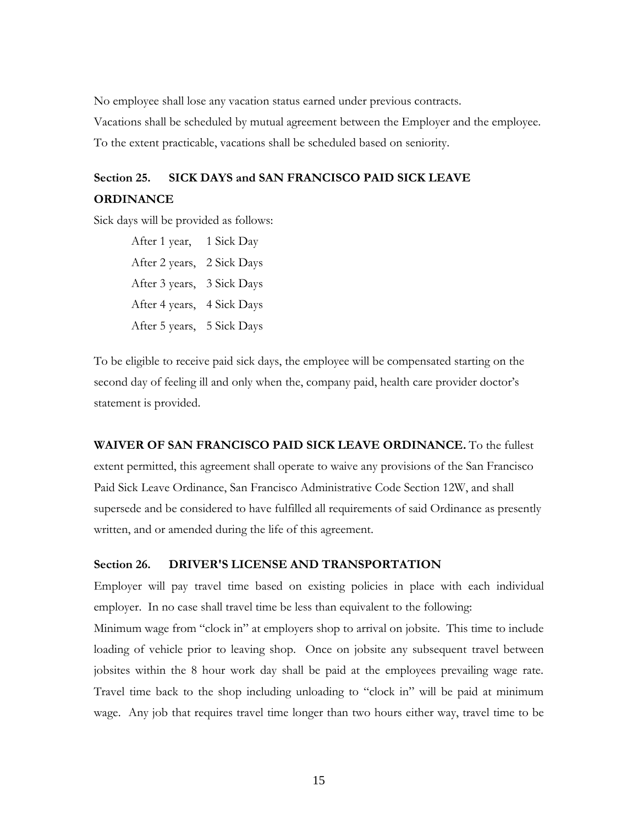No employee shall lose any vacation status earned under previous contracts*.* Vacations shall be scheduled by mutual agreement between the Employer and the employee. To the extent practicable, vacations shall be scheduled based on seniority.

# **Section 25. SICK DAYS and SAN FRANCISCO PAID SICK LEAVE ORDINANCE**

Sick days will be provided as follows:

After 1 year, 1 Sick Day After 2 years, 2 Sick Days After 3 years, 3 Sick Days After 4 years, 4 Sick Days After 5 years, 5 Sick Days

To be eligible to receive paid sick days, the employee will be compensated starting on the second day of feeling ill and only when the, company paid, health care provider doctor's statement is provided.

# **WAIVER OF SAN FRANCISCO PAID SICK LEAVE ORDINANCE.** To the fullest extent permitted, this agreement shall operate to waive any provisions of the San Francisco Paid Sick Leave Ordinance, San Francisco Administrative Code Section 12W, and shall supersede and be considered to have fulfilled all requirements of said Ordinance as presently written, and or amended during the life of this agreement.

# **Section 26. DRIVER'S LICENSE AND TRANSPORTATION**

Employer will pay travel time based on existing policies in place with each individual employer. In no case shall travel time be less than equivalent to the following:

Minimum wage from "clock in" at employers shop to arrival on jobsite. This time to include loading of vehicle prior to leaving shop. Once on jobsite any subsequent travel between jobsites within the 8 hour work day shall be paid at the employees prevailing wage rate. Travel time back to the shop including unloading to "clock in" will be paid at minimum wage. Any job that requires travel time longer than two hours either way, travel time to be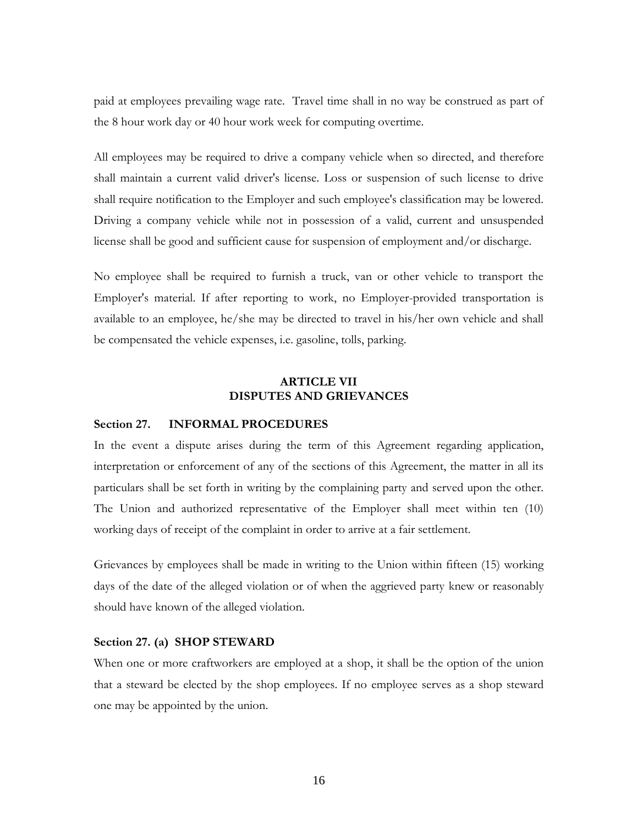paid at employees prevailing wage rate. Travel time shall in no way be construed as part of the 8 hour work day or 40 hour work week for computing overtime.

All employees may be required to drive a company vehicle when so directed, and therefore shall maintain a current valid driver's license. Loss or suspension of such license to drive shall require notification to the Employer and such employee's classification may be lowered. Driving a company vehicle while not in possession of a valid, current and unsuspended license shall be good and sufficient cause for suspension of employment and/or discharge.

No employee shall be required to furnish a truck, van or other vehicle to transport the Employer's material. If after reporting to work, no Employer-provided transportation is available to an employee, he/she may be directed to travel in his/her own vehicle and shall be compensated the vehicle expenses, i.e. gasoline, tolls, parking.

## **ARTICLE VII DISPUTES AND GRIEVANCES**

### **Section 27. INFORMAL PROCEDURES**

In the event a dispute arises during the term of this Agreement regarding application, interpretation or enforcement of any of the sections of this Agreement, the matter in all its particulars shall be set forth in writing by the complaining party and served upon the other. The Union and authorized representative of the Employer shall meet within ten (10) working days of receipt of the complaint in order to arrive at a fair settlement.

Grievances by employees shall be made in writing to the Union within fifteen (15) working days of the date of the alleged violation or of when the aggrieved party knew or reasonably should have known of the alleged violation.

## **Section 27. (a) SHOP STEWARD**

When one or more craftworkers are employed at a shop, it shall be the option of the union that a steward be elected by the shop employees. If no employee serves as a shop steward one may be appointed by the union.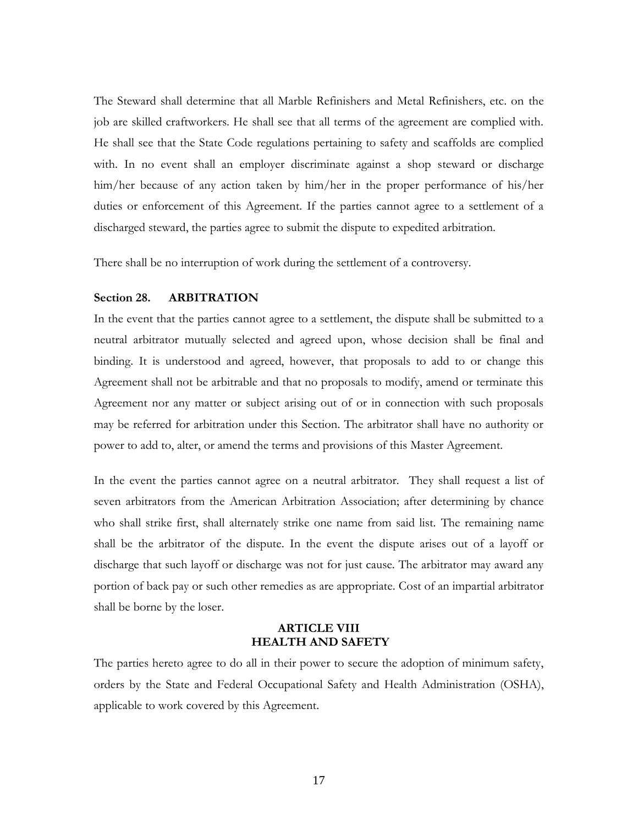The Steward shall determine that all Marble Refinishers and Metal Refinishers, etc. on the job are skilled craftworkers. He shall see that all terms of the agreement are complied with. He shall see that the State Code regulations pertaining to safety and scaffolds are complied with. In no event shall an employer discriminate against a shop steward or discharge him/her because of any action taken by him/her in the proper performance of his/her duties or enforcement of this Agreement. If the parties cannot agree to a settlement of a discharged steward, the parties agree to submit the dispute to expedited arbitration.

There shall be no interruption of work during the settlement of a controversy.

### **Section 28. ARBITRATION**

In the event that the parties cannot agree to a settlement, the dispute shall be submitted to a neutral arbitrator mutually selected and agreed upon, whose decision shall be final and binding. It is understood and agreed, however, that proposals to add to or change this Agreement shall not be arbitrable and that no proposals to modify, amend or terminate this Agreement nor any matter or subject arising out of or in connection with such proposals may be referred for arbitration under this Section. The arbitrator shall have no authority or power to add to, alter, or amend the terms and provisions of this Master Agreement.

In the event the parties cannot agree on a neutral arbitrator. They shall request a list of seven arbitrators from the American Arbitration Association; after determining by chance who shall strike first, shall alternately strike one name from said list. The remaining name shall be the arbitrator of the dispute. In the event the dispute arises out of a layoff or discharge that such layoff or discharge was not for just cause. The arbitrator may award any portion of back pay or such other remedies as are appropriate. Cost of an impartial arbitrator shall be borne by the loser.

# **ARTICLE VIII HEALTH AND SAFETY**

The parties hereto agree to do all in their power to secure the adoption of minimum safety, orders by the State and Federal Occupational Safety and Health Administration (OSHA), applicable to work covered by this Agreement.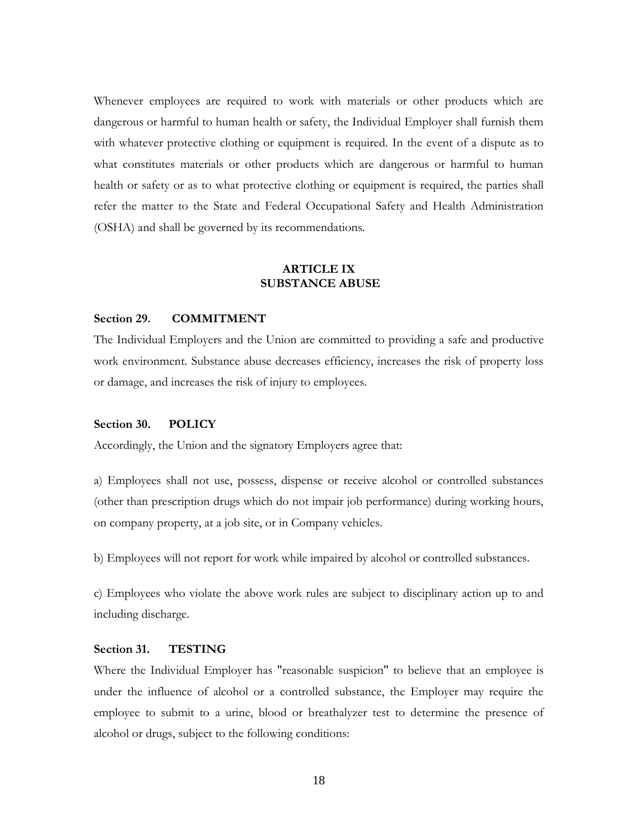Whenever employees are required to work with materials or other products which are dangerous or harmful to human health or safety, the Individual Employer shall furnish them with whatever protective clothing or equipment is required. In the event of a dispute as to what constitutes materials or other products which are dangerous or harmful to human health or safety or as to what protective clothing or equipment is required, the parties shall refer the matter to the State and Federal Occupational Safety and Health Administration (OSHA) and shall be governed by its recommendations.

# **ARTICLE IX SUBSTANCE ABUSE**

#### **Section 29. COMMITMENT**

The Individual Employers and the Union are committed to providing a safe and productive work environment. Substance abuse decreases efficiency, increases the risk of property loss or damage, and increases the risk of injury to employees.

### **Section 30. POLICY**

Accordingly, the Union and the signatory Employers agree that:

a) Employees shall not use, possess, dispense or receive alcohol or controlled substances (other than prescription drugs which do not impair job performance) during working hours, on company property, at a job site, or in Company vehicles.

b) Employees will not report for work while impaired by alcohol or controlled substances.

c) Employees who violate the above work rules are subject to disciplinary action up to and including discharge.

### **Section 31. TESTING**

Where the Individual Employer has "reasonable suspicion" to believe that an employee is under the influence of alcohol or a controlled substance, the Employer may require the employee to submit to a urine, blood or breathalyzer test to determine the presence of alcohol or drugs, subject to the following conditions: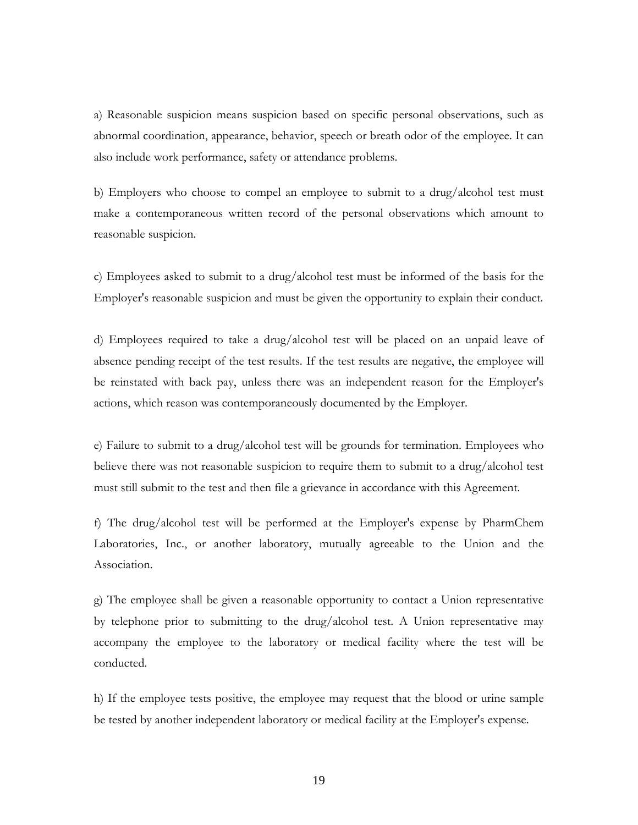a) Reasonable suspicion means suspicion based on specific personal observations, such as abnormal coordination, appearance, behavior, speech or breath odor of the employee. It can also include work performance, safety or attendance problems.

b) Employers who choose to compel an employee to submit to a drug/alcohol test must make a contemporaneous written record of the personal observations which amount to reasonable suspicion.

c) Employees asked to submit to a drug/alcohol test must be informed of the basis for the Employer's reasonable suspicion and must be given the opportunity to explain their conduct.

d) Employees required to take a drug/alcohol test will be placed on an unpaid leave of absence pending receipt of the test results. If the test results are negative, the employee will be reinstated with back pay, unless there was an independent reason for the Employer's actions, which reason was contemporaneously documented by the Employer.

e) Failure to submit to a drug/alcohol test will be grounds for termination. Employees who believe there was not reasonable suspicion to require them to submit to a drug/alcohol test must still submit to the test and then file a grievance in accordance with this Agreement.

f) The drug/alcohol test will be performed at the Employer's expense by PharmChem Laboratories, Inc., or another laboratory, mutually agreeable to the Union and the Association.

g) The employee shall be given a reasonable opportunity to contact a Union representative by telephone prior to submitting to the drug/alcohol test. A Union representative may accompany the employee to the laboratory or medical facility where the test will be conducted.

h) If the employee tests positive, the employee may request that the blood or urine sample be tested by another independent laboratory or medical facility at the Employer's expense.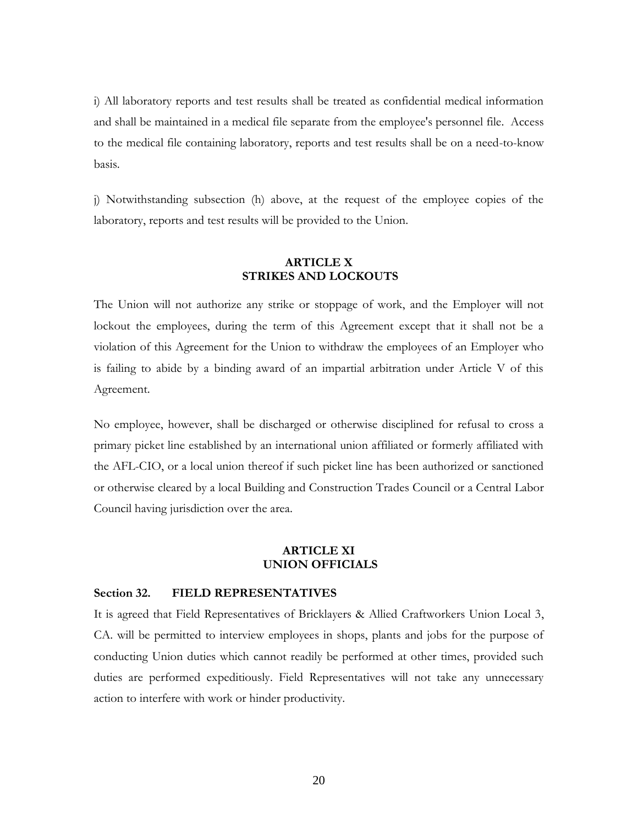i) All laboratory reports and test results shall be treated as confidential medical information and shall be maintained in a medical file separate from the employee's personnel file. Access to the medical file containing laboratory, reports and test results shall be on a need-to-know basis.

j) Notwithstanding subsection (h) above, at the request of the employee copies of the laboratory, reports and test results will be provided to the Union.

## **ARTICLE X STRIKES AND LOCKOUTS**

The Union will not authorize any strike or stoppage of work, and the Employer will not lockout the employees, during the term of this Agreement except that it shall not be a violation of this Agreement for the Union to withdraw the employees of an Employer who is failing to abide by a binding award of an impartial arbitration under Article V of this Agreement.

No employee, however, shall be discharged or otherwise disciplined for refusal to cross a primary picket line established by an international union affiliated or formerly affiliated with the AFL-CIO, or a local union thereof if such picket line has been authorized or sanctioned or otherwise cleared by a local Building and Construction Trades Council or a Central Labor Council having jurisdiction over the area.

### **ARTICLE XI UNION OFFICIALS**

### **Section 32. FIELD REPRESENTATIVES**

It is agreed that Field Representatives of Bricklayers & Allied Craftworkers Union Local 3, CA. will be permitted to interview employees in shops, plants and jobs for the purpose of conducting Union duties which cannot readily be performed at other times, provided such duties are performed expeditiously. Field Representatives will not take any unnecessary action to interfere with work or hinder productivity.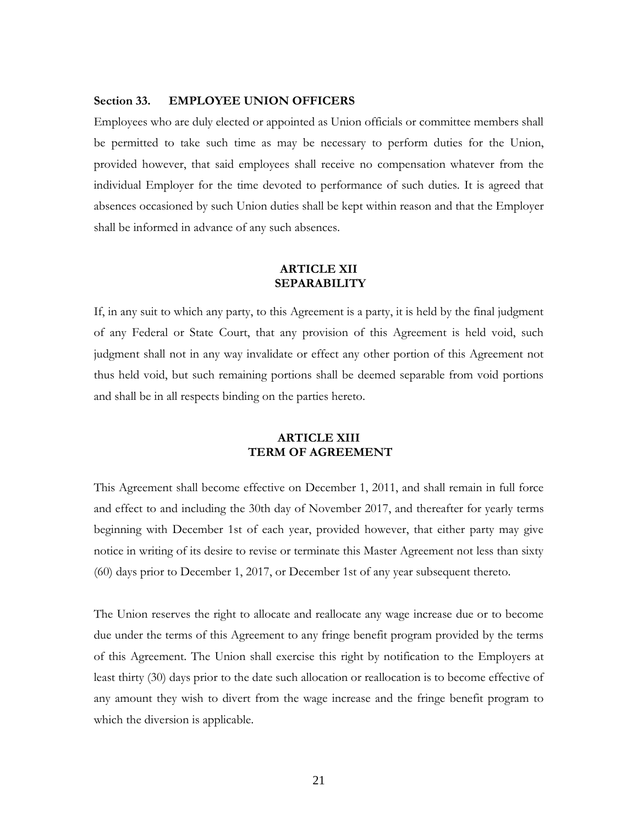### **Section 33. EMPLOYEE UNION OFFICERS**

Employees who are duly elected or appointed as Union officials or committee members shall be permitted to take such time as may be necessary to perform duties for the Union, provided however, that said employees shall receive no compensation whatever from the individual Employer for the time devoted to performance of such duties. It is agreed that absences occasioned by such Union duties shall be kept within reason and that the Employer shall be informed in advance of any such absences.

# **ARTICLE XII SEPARABILITY**

If, in any suit to which any party, to this Agreement is a party, it is held by the final judgment of any Federal or State Court, that any provision of this Agreement is held void, such judgment shall not in any way invalidate or effect any other portion of this Agreement not thus held void, but such remaining portions shall be deemed separable from void portions and shall be in all respects binding on the parties hereto.

# **ARTICLE XIII TERM OF AGREEMENT**

This Agreement shall become effective on December 1, 2011, and shall remain in full force and effect to and including the 30th day of November 2017, and thereafter for yearly terms beginning with December 1st of each year, provided however, that either party may give notice in writing of its desire to revise or terminate this Master Agreement not less than sixty (60) days prior to December 1, 2017, or December 1st of any year subsequent thereto.

The Union reserves the right to allocate and reallocate any wage increase due or to become due under the terms of this Agreement to any fringe benefit program provided by the terms of this Agreement. The Union shall exercise this right by notification to the Employers at least thirty (30) days prior to the date such allocation or reallocation is to become effective of any amount they wish to divert from the wage increase and the fringe benefit program to which the diversion is applicable.